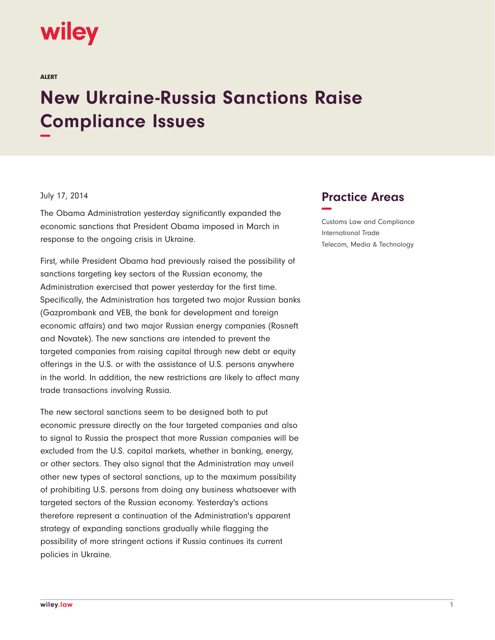## wiley

ALERT

## **New Ukraine-Russia Sanctions Raise Compliance Issues −**

## July 17, 2014

The Obama Administration yesterday significantly expanded the economic sanctions that President Obama imposed in March in response to the ongoing crisis in Ukraine.

First, while President Obama had previously raised the possibility of sanctions targeting key sectors of the Russian economy, the Administration exercised that power yesterday for the first time. Specifically, the Administration has targeted two major Russian banks (Gazprombank and VEB, the bank for development and foreign economic affairs) and two major Russian energy companies (Rosneft and Novatek). The new sanctions are intended to prevent the targeted companies from raising capital through new debt or equity offerings in the U.S. or with the assistance of U.S. persons anywhere in the world. In addition, the new restrictions are likely to affect many trade transactions involving Russia.

The new sectoral sanctions seem to be designed both to put economic pressure directly on the four targeted companies and also to signal to Russia the prospect that more Russian companies will be excluded from the U.S. capital markets, whether in banking, energy, or other sectors. They also signal that the Administration may unveil other new types of sectoral sanctions, up to the maximum possibility of prohibiting U.S. persons from doing any business whatsoever with targeted sectors of the Russian economy. Yesterday's actions therefore represent a continuation of the Administration's apparent strategy of expanding sanctions gradually while flagging the possibility of more stringent actions if Russia continues its current policies in Ukraine.

## **Practice Areas −**

Customs Law and Compliance International Trade Telecom, Media & Technology